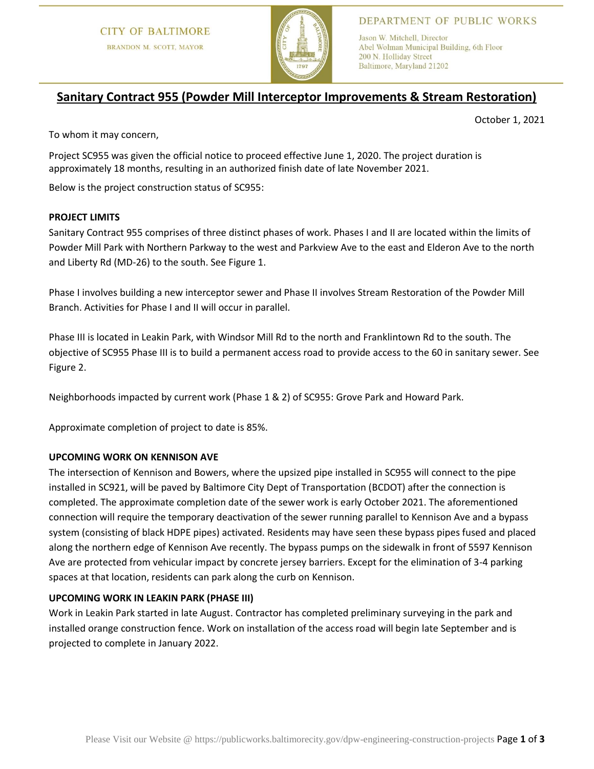

## DEPARTMENT OF PUBLIC WORKS

Jason W. Mitchell, Director Abel Wolman Municipal Building, 6th Floor 200 N. Holliday Street Baltimore, Maryland 21202

# **Sanitary Contract 955 (Powder Mill Interceptor Improvements & Stream Restoration)**

October 1, 2021

To whom it may concern,

Project SC955 was given the official notice to proceed effective June 1, 2020. The project duration is approximately 18 months, resulting in an authorized finish date of late November 2021.

Below is the project construction status of SC955:

### **PROJECT LIMITS**

Sanitary Contract 955 comprises of three distinct phases of work. Phases I and II are located within the limits of Powder Mill Park with Northern Parkway to the west and Parkview Ave to the east and Elderon Ave to the north and Liberty Rd (MD-26) to the south. See Figure 1.

Phase I involves building a new interceptor sewer and Phase II involves Stream Restoration of the Powder Mill Branch. Activities for Phase I and II will occur in parallel.

Phase III is located in Leakin Park, with Windsor Mill Rd to the north and Franklintown Rd to the south. The objective of SC955 Phase III is to build a permanent access road to provide access to the 60 in sanitary sewer. See Figure 2.

Neighborhoods impacted by current work (Phase 1 & 2) of SC955: Grove Park and Howard Park.

Approximate completion of project to date is 85%.

#### **UPCOMING WORK ON KENNISON AVE**

The intersection of Kennison and Bowers, where the upsized pipe installed in SC955 will connect to the pipe installed in SC921, will be paved by Baltimore City Dept of Transportation (BCDOT) after the connection is completed. The approximate completion date of the sewer work is early October 2021. The aforementioned connection will require the temporary deactivation of the sewer running parallel to Kennison Ave and a bypass system (consisting of black HDPE pipes) activated. Residents may have seen these bypass pipes fused and placed along the northern edge of Kennison Ave recently. The bypass pumps on the sidewalk in front of 5597 Kennison Ave are protected from vehicular impact by concrete jersey barriers. Except for the elimination of 3-4 parking spaces at that location, residents can park along the curb on Kennison.

#### **UPCOMING WORK IN LEAKIN PARK (PHASE III)**

Work in Leakin Park started in late August. Contractor has completed preliminary surveying in the park and installed orange construction fence. Work on installation of the access road will begin late September and is projected to complete in January 2022.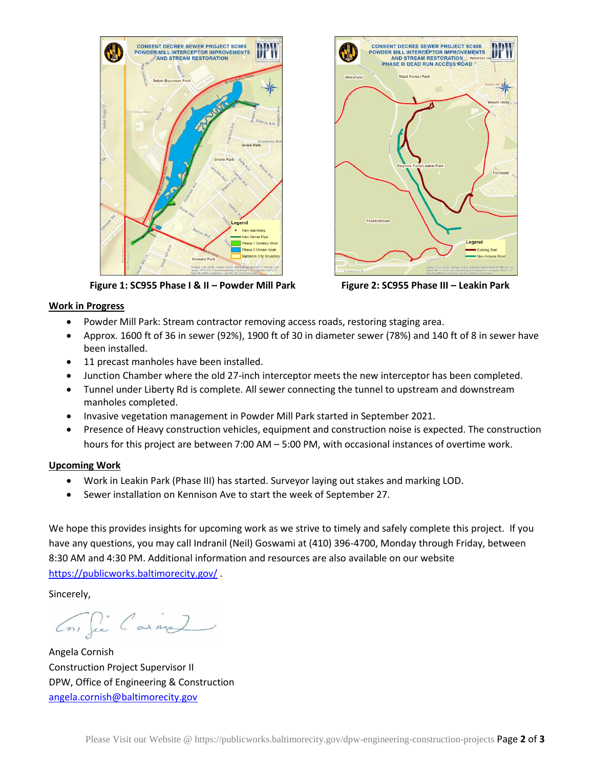

CONSENT DECREE SEWER PROJECT SC955<br>POWDER MILL INTERCEPTOR IMPROVEMENTS<br>AND STREAM RESTORATION Windsor PHASE III DEAD RUN ACCESS ROAD West Forest Park Fair Legend **Existing Trail** 

 **Figure 1: SC955 Phase I & II – Powder Mill Park Figure 2: SC955 Phase III – Leakin Park**

#### **Work in Progress**

- Powder Mill Park: Stream contractor removing access roads, restoring staging area.
- Approx. 1600 ft of 36 in sewer (92%), 1900 ft of 30 in diameter sewer (78%) and 140 ft of 8 in sewer have been installed.
- 11 precast manholes have been installed.
- Junction Chamber where the old 27-inch interceptor meets the new interceptor has been completed.
- Tunnel under Liberty Rd is complete. All sewer connecting the tunnel to upstream and downstream manholes completed.
- Invasive vegetation management in Powder Mill Park started in September 2021.
- Presence of Heavy construction vehicles, equipment and construction noise is expected. The construction hours for this project are between 7:00 AM – 5:00 PM, with occasional instances of overtime work.

#### **Upcoming Work**

- Work in Leakin Park (Phase III) has started. Surveyor laying out stakes and marking LOD.
- Sewer installation on Kennison Ave to start the week of September 27.

We hope this provides insights for upcoming work as we strive to timely and safely complete this project. If you have any questions, you may call Indranil (Neil) Goswami at (410) 396-4700, Monday through Friday, between 8:30 AM and 4:30 PM. Additional information and resources are also available on our website <https://publicworks.baltimorecity.gov/> .

Sincerely,

Cons fie Carnes

Angela Cornish Construction Project Supervisor II DPW, Office of Engineering & Construction [angela.cornish@baltimorecity.gov](mailto:angela.cornish@baltimorecity.gov)